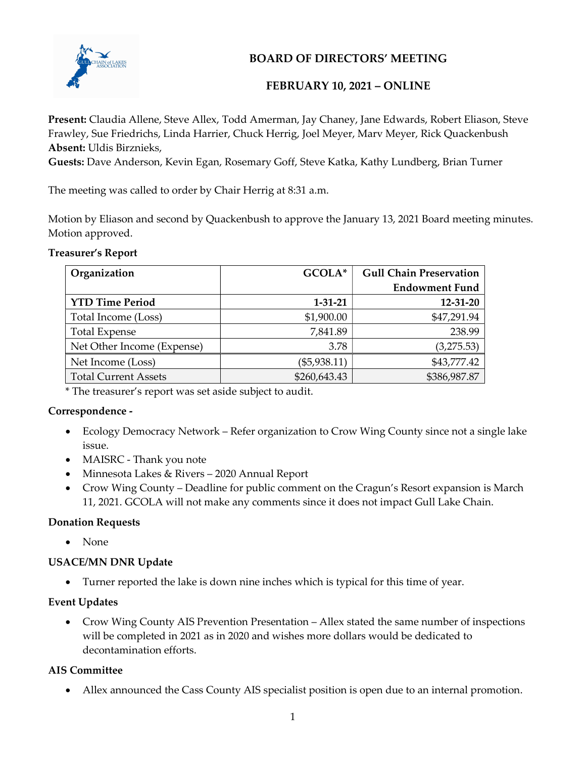

## BOARD OF DIRECTORS' MEETING

## FEBRUARY 10, 2021 – ONLINE

Present: Claudia Allene, Steve Allex, Todd Amerman, Jay Chaney, Jane Edwards, Robert Eliason, Steve Frawley, Sue Friedrichs, Linda Harrier, Chuck Herrig, Joel Meyer, Marv Meyer, Rick Quackenbush Absent: Uldis Birznieks,

Guests: Dave Anderson, Kevin Egan, Rosemary Goff, Steve Katka, Kathy Lundberg, Brian Turner

The meeting was called to order by Chair Herrig at 8:31 a.m.

Motion by Eliason and second by Quackenbush to approve the January 13, 2021 Board meeting minutes. Motion approved.

Treasurer's Report

| Organization                | GCOLA*         | <b>Gull Chain Preservation</b> |
|-----------------------------|----------------|--------------------------------|
|                             |                | <b>Endowment Fund</b>          |
| <b>YTD Time Period</b>      | $1 - 31 - 21$  | 12-31-20                       |
| Total Income (Loss)         | \$1,900.00     | \$47,291.94                    |
| <b>Total Expense</b>        | 7,841.89       | 238.99                         |
| Net Other Income (Expense)  | 3.78           | (3,275.53)                     |
| Net Income (Loss)           | $(\$5,938.11)$ | \$43,777.42                    |
| <b>Total Current Assets</b> | \$260,643.43   | \$386,987.87                   |

\* The treasurer's report was set aside subject to audit.

## Correspondence -

- Ecology Democracy Network Refer organization to Crow Wing County since not a single lake issue.
- MAISRC Thank you note
- Minnesota Lakes & Rivers 2020 Annual Report
- Crow Wing County Deadline for public comment on the Cragun's Resort expansion is March 11, 2021. GCOLA will not make any comments since it does not impact Gull Lake Chain.

## Donation Requests

• None

## USACE/MN DNR Update

Turner reported the lake is down nine inches which is typical for this time of year.

## Event Updates

 Crow Wing County AIS Prevention Presentation – Allex stated the same number of inspections will be completed in 2021 as in 2020 and wishes more dollars would be dedicated to decontamination efforts.

## AIS Committee

Allex announced the Cass County AIS specialist position is open due to an internal promotion.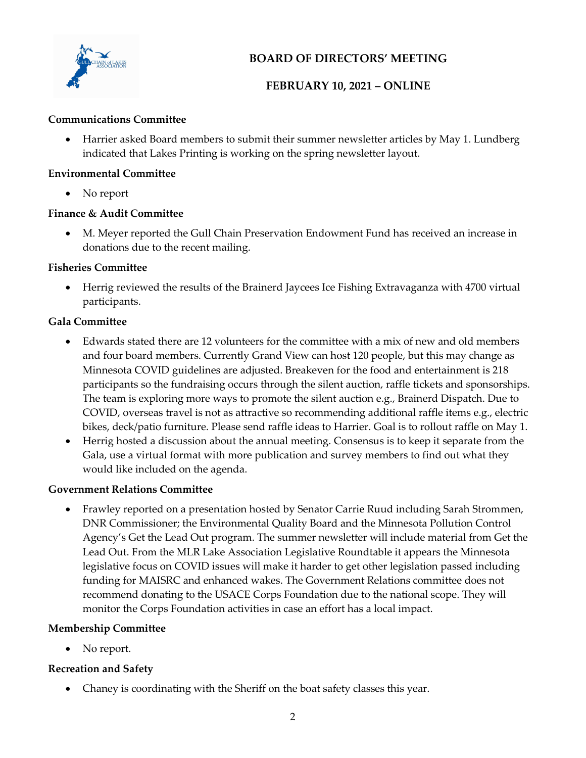

## BOARD OF DIRECTORS' MEETING

## FEBRUARY 10, 2021 – ONLINE

#### Communications Committee

 Harrier asked Board members to submit their summer newsletter articles by May 1. Lundberg indicated that Lakes Printing is working on the spring newsletter layout.

#### Environmental Committee

• No report

## Finance & Audit Committee

 M. Meyer reported the Gull Chain Preservation Endowment Fund has received an increase in donations due to the recent mailing.

## Fisheries Committee

 Herrig reviewed the results of the Brainerd Jaycees Ice Fishing Extravaganza with 4700 virtual participants.

## Gala Committee

- Edwards stated there are 12 volunteers for the committee with a mix of new and old members and four board members. Currently Grand View can host 120 people, but this may change as Minnesota COVID guidelines are adjusted. Breakeven for the food and entertainment is 218 participants so the fundraising occurs through the silent auction, raffle tickets and sponsorships. The team is exploring more ways to promote the silent auction e.g., Brainerd Dispatch. Due to COVID, overseas travel is not as attractive so recommending additional raffle items e.g., electric bikes, deck/patio furniture. Please send raffle ideas to Harrier. Goal is to rollout raffle on May 1.
- Herrig hosted a discussion about the annual meeting. Consensus is to keep it separate from the Gala, use a virtual format with more publication and survey members to find out what they would like included on the agenda.

## Government Relations Committee

 Frawley reported on a presentation hosted by Senator Carrie Ruud including Sarah Strommen, DNR Commissioner; the Environmental Quality Board and the Minnesota Pollution Control Agency's Get the Lead Out program. The summer newsletter will include material from Get the Lead Out. From the MLR Lake Association Legislative Roundtable it appears the Minnesota legislative focus on COVID issues will make it harder to get other legislation passed including funding for MAISRC and enhanced wakes. The Government Relations committee does not recommend donating to the USACE Corps Foundation due to the national scope. They will monitor the Corps Foundation activities in case an effort has a local impact.

## Membership Committee

• No report.

## Recreation and Safety

Chaney is coordinating with the Sheriff on the boat safety classes this year.